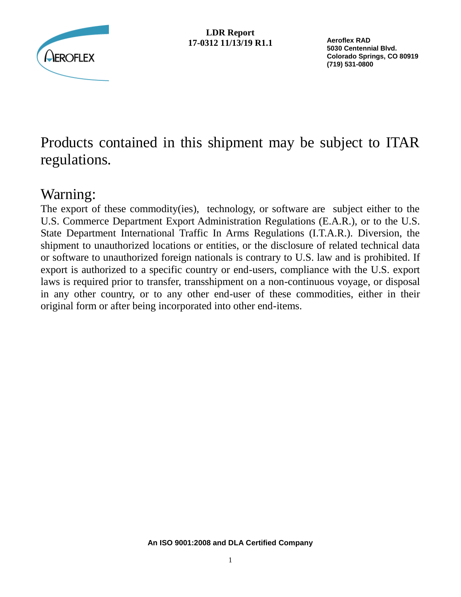

**Aeroflex RAD 5030 Centennial Blvd. Colorado Springs, CO 80919 (719) 531-0800**

# Products contained in this shipment may be subject to ITAR regulations.

## Warning:

The export of these commodity(ies), technology, or software are subject either to the U.S. Commerce Department Export Administration Regulations (E.A.R.), or to the U.S. State Department International Traffic In Arms Regulations (I.T.A.R.). Diversion, the shipment to unauthorized locations or entities, or the disclosure of related technical data or software to unauthorized foreign nationals is contrary to U.S. law and is prohibited. If export is authorized to a specific country or end-users, compliance with the U.S. export laws is required prior to transfer, transshipment on a non-continuous voyage, or disposal in any other country, or to any other end-user of these commodities, either in their original form or after being incorporated into other end-items.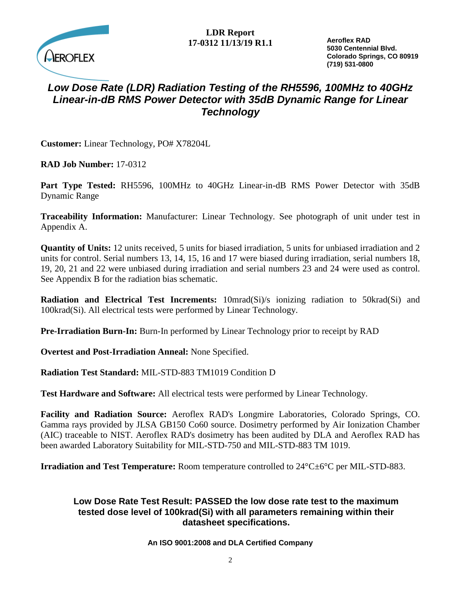

**Aeroflex RAD 5030 Centennial Blvd. Colorado Springs, CO 80919 (719) 531-0800**

## *Low Dose Rate (LDR) Radiation Testing of the RH5596, 100MHz to 40GHz Linear-in-dB RMS Power Detector with 35dB Dynamic Range for Linear Technology*

**Customer:** Linear Technology, PO# X78204L

**RAD Job Number:** 17-0312

**Part Type Tested:** RH5596, 100MHz to 40GHz Linear-in-dB RMS Power Detector with 35dB Dynamic Range

**Traceability Information:** Manufacturer: Linear Technology. See photograph of unit under test in Appendix A.

**Quantity of Units:** 12 units received, 5 units for biased irradiation, 5 units for unbiased irradiation and 2 units for control. Serial numbers 13, 14, 15, 16 and 17 were biased during irradiation, serial numbers 18, 19, 20, 21 and 22 were unbiased during irradiation and serial numbers 23 and 24 were used as control. See Appendix B for the radiation bias schematic.

**Radiation and Electrical Test Increments:** 10mrad(Si)/s ionizing radiation to 50krad(Si) and 100krad(Si). All electrical tests were performed by Linear Technology.

**Pre-Irradiation Burn-In:** Burn-In performed by Linear Technology prior to receipt by RAD

**Overtest and Post-Irradiation Anneal:** None Specified.

**Radiation Test Standard:** MIL-STD-883 TM1019 Condition D

**Test Hardware and Software:** All electrical tests were performed by Linear Technology.

**Facility and Radiation Source:** Aeroflex RAD's Longmire Laboratories, Colorado Springs, CO. Gamma rays provided by JLSA GB150 Co60 source. Dosimetry performed by Air Ionization Chamber (AIC) traceable to NIST. Aeroflex RAD's dosimetry has been audited by DLA and Aeroflex RAD has been awarded Laboratory Suitability for MIL-STD-750 and MIL-STD-883 TM 1019.

**Irradiation and Test Temperature:** Room temperature controlled to 24°C±6°C per MIL-STD-883.

#### **Low Dose Rate Test Result: PASSED the low dose rate test to the maximum tested dose level of 100krad(Si) with all parameters remaining within their datasheet specifications.**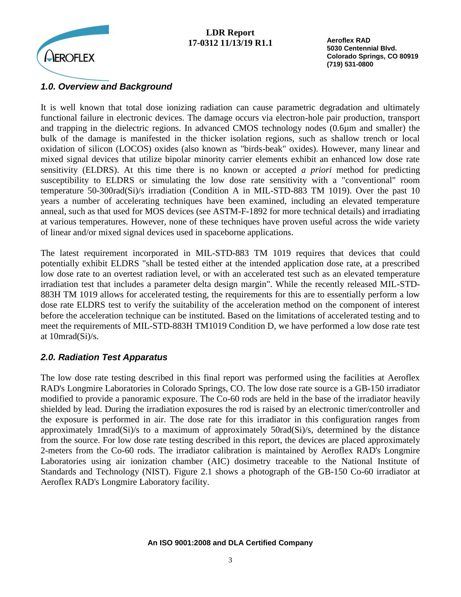

**Aeroflex RAD 5030 Centennial Blvd. Colorado Springs, CO 80919 (719) 531-0800**

### *1.0. Overview and Background*

It is well known that total dose ionizing radiation can cause parametric degradation and ultimately functional failure in electronic devices. The damage occurs via electron-hole pair production, transport and trapping in the dielectric regions. In advanced CMOS technology nodes (0.6µm and smaller) the bulk of the damage is manifested in the thicker isolation regions, such as shallow trench or local oxidation of silicon (LOCOS) oxides (also known as "birds-beak" oxides). However, many linear and mixed signal devices that utilize bipolar minority carrier elements exhibit an enhanced low dose rate sensitivity (ELDRS). At this time there is no known or accepted *a priori* method for predicting susceptibility to ELDRS or simulating the low dose rate sensitivity with a "conventional" room temperature 50-300rad(Si)/s irradiation (Condition A in MIL-STD-883 TM 1019). Over the past 10 years a number of accelerating techniques have been examined, including an elevated temperature anneal, such as that used for MOS devices (see ASTM-F-1892 for more technical details) and irradiating at various temperatures. However, none of these techniques have proven useful across the wide variety of linear and/or mixed signal devices used in spaceborne applications.

The latest requirement incorporated in MIL-STD-883 TM 1019 requires that devices that could potentially exhibit ELDRS "shall be tested either at the intended application dose rate, at a prescribed low dose rate to an overtest radiation level, or with an accelerated test such as an elevated temperature irradiation test that includes a parameter delta design margin". While the recently released MIL-STD-883H TM 1019 allows for accelerated testing, the requirements for this are to essentially perform a low dose rate ELDRS test to verify the suitability of the acceleration method on the component of interest before the acceleration technique can be instituted. Based on the limitations of accelerated testing and to meet the requirements of MIL-STD-883H TM1019 Condition D, we have performed a low dose rate test at 10mrad(Si)/s.

## *2.0. Radiation Test Apparatus*

The low dose rate testing described in this final report was performed using the facilities at Aeroflex RAD's Longmire Laboratories in Colorado Springs, CO. The low dose rate source is a GB-150 irradiator modified to provide a panoramic exposure. The Co-60 rods are held in the base of the irradiator heavily shielded by lead. During the irradiation exposures the rod is raised by an electronic timer/controller and the exposure is performed in air. The dose rate for this irradiator in this configuration ranges from approximately 1mrad(Si)/s to a maximum of approximately 50rad(Si)/s, determined by the distance from the source. For low dose rate testing described in this report, the devices are placed approximately 2-meters from the Co-60 rods. The irradiator calibration is maintained by Aeroflex RAD's Longmire Laboratories using air ionization chamber (AIC) dosimetry traceable to the National Institute of Standards and Technology (NIST). Figure 2.1 shows a photograph of the GB-150 Co-60 irradiator at Aeroflex RAD's Longmire Laboratory facility.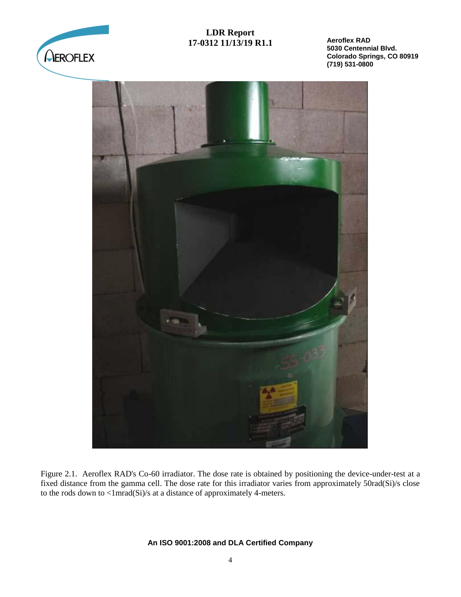

**Aeroflex RAD 5030 Centennial Blvd. Colorado Springs, CO 80919 (719) 531-0800**



Figure 2.1. Aeroflex RAD's Co-60 irradiator. The dose rate is obtained by positioning the device-under-test at a fixed distance from the gamma cell. The dose rate for this irradiator varies from approximately 50rad(Si)/s close to the rods down to <1mrad(Si)/s at a distance of approximately 4-meters.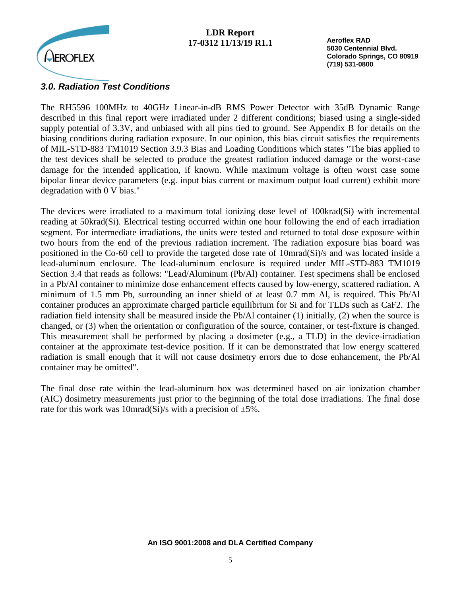

**Aeroflex RAD 5030 Centennial Blvd. Colorado Springs, CO 80919 (719) 531-0800**

#### *3.0. Radiation Test Conditions*

The RH5596 100MHz to 40GHz Linear-in-dB RMS Power Detector with 35dB Dynamic Range described in this final report were irradiated under 2 different conditions; biased using a single-sided supply potential of 3.3V, and unbiased with all pins tied to ground. See Appendix B for details on the biasing conditions during radiation exposure. In our opinion, this bias circuit satisfies the requirements of MIL-STD-883 TM1019 Section 3.9.3 Bias and Loading Conditions which states "The bias applied to the test devices shall be selected to produce the greatest radiation induced damage or the worst-case damage for the intended application, if known. While maximum voltage is often worst case some bipolar linear device parameters (e.g. input bias current or maximum output load current) exhibit more degradation with 0 V bias."

The devices were irradiated to a maximum total ionizing dose level of 100krad(Si) with incremental reading at 50krad(Si). Electrical testing occurred within one hour following the end of each irradiation segment. For intermediate irradiations, the units were tested and returned to total dose exposure within two hours from the end of the previous radiation increment. The radiation exposure bias board was positioned in the Co-60 cell to provide the targeted dose rate of 10mrad(Si)/s and was located inside a lead-aluminum enclosure. The lead-aluminum enclosure is required under MIL-STD-883 TM1019 Section 3.4 that reads as follows: "Lead/Aluminum (Pb/Al) container. Test specimens shall be enclosed in a Pb/Al container to minimize dose enhancement effects caused by low-energy, scattered radiation. A minimum of 1.5 mm Pb, surrounding an inner shield of at least 0.7 mm Al, is required. This Pb/Al container produces an approximate charged particle equilibrium for Si and for TLDs such as CaF2. The radiation field intensity shall be measured inside the Pb/Al container (1) initially, (2) when the source is changed, or (3) when the orientation or configuration of the source, container, or test-fixture is changed. This measurement shall be performed by placing a dosimeter (e.g., a TLD) in the device-irradiation container at the approximate test-device position. If it can be demonstrated that low energy scattered radiation is small enough that it will not cause dosimetry errors due to dose enhancement, the Pb/Al container may be omitted".

The final dose rate within the lead-aluminum box was determined based on air ionization chamber (AIC) dosimetry measurements just prior to the beginning of the total dose irradiations. The final dose rate for this work was 10mrad(Si)/s with a precision of  $\pm 5\%$ .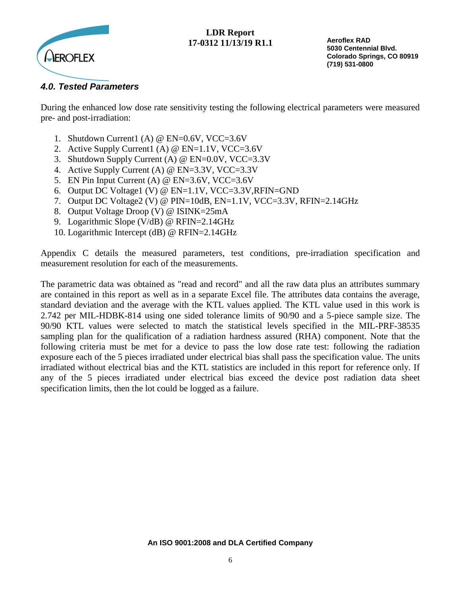

**Aeroflex RAD 5030 Centennial Blvd. Colorado Springs, CO 80919 (719) 531-0800**

## *4.0. Tested Parameters*

During the enhanced low dose rate sensitivity testing the following electrical parameters were measured pre- and post-irradiation:

- 1. Shutdown Current1 (A) @ EN=0.6V, VCC=3.6V
- 2. Active Supply Current1 (A) @ EN=1.1V, VCC=3.6V
- 3. Shutdown Supply Current (A) @ EN=0.0V, VCC=3.3V
- 4. Active Supply Current (A) @ EN=3.3V, VCC=3.3V
- 5. EN Pin Input Current (A) @ EN=3.6V, VCC=3.6V
- 6. Output DC Voltage1 (V) @ EN=1.1V, VCC=3.3V,RFIN=GND
- 7. Output DC Voltage2 (V) @ PIN=10dB, EN=1.1V, VCC=3.3V, RFIN=2.14GHz
- 8. Output Voltage Droop (V) @ ISINK=25mA
- 9. Logarithmic Slope (V/dB) @ RFIN=2.14GHz
- 10. Logarithmic Intercept (dB) @ RFIN=2.14GHz

Appendix C details the measured parameters, test conditions, pre-irradiation specification and measurement resolution for each of the measurements.

The parametric data was obtained as "read and record" and all the raw data plus an attributes summary are contained in this report as well as in a separate Excel file. The attributes data contains the average, standard deviation and the average with the KTL values applied. The KTL value used in this work is 2.742 per MIL-HDBK-814 using one sided tolerance limits of 90/90 and a 5-piece sample size. The 90/90 KTL values were selected to match the statistical levels specified in the MIL-PRF-38535 sampling plan for the qualification of a radiation hardness assured (RHA) component. Note that the following criteria must be met for a device to pass the low dose rate test: following the radiation exposure each of the 5 pieces irradiated under electrical bias shall pass the specification value. The units irradiated without electrical bias and the KTL statistics are included in this report for reference only. If any of the 5 pieces irradiated under electrical bias exceed the device post radiation data sheet specification limits, then the lot could be logged as a failure.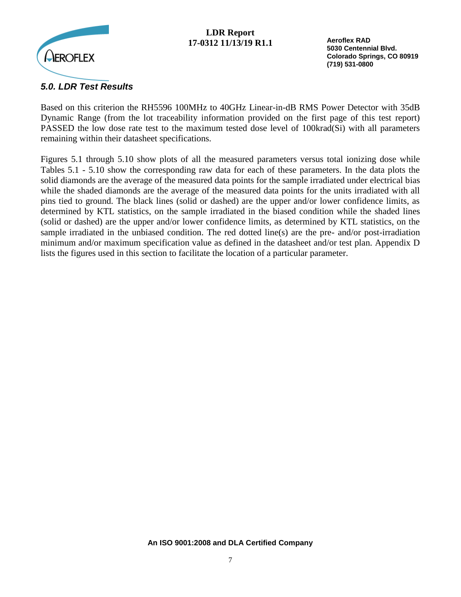

**Aeroflex RAD 5030 Centennial Blvd. Colorado Springs, CO 80919 (719) 531-0800**

## *5.0. LDR Test Results*

Based on this criterion the RH5596 100MHz to 40GHz Linear-in-dB RMS Power Detector with 35dB Dynamic Range (from the lot traceability information provided on the first page of this test report) PASSED the low dose rate test to the maximum tested dose level of 100krad(Si) with all parameters remaining within their datasheet specifications.

Figures 5.1 through 5.10 show plots of all the measured parameters versus total ionizing dose while Tables 5.1 - 5.10 show the corresponding raw data for each of these parameters. In the data plots the solid diamonds are the average of the measured data points for the sample irradiated under electrical bias while the shaded diamonds are the average of the measured data points for the units irradiated with all pins tied to ground. The black lines (solid or dashed) are the upper and/or lower confidence limits, as determined by KTL statistics, on the sample irradiated in the biased condition while the shaded lines (solid or dashed) are the upper and/or lower confidence limits, as determined by KTL statistics, on the sample irradiated in the unbiased condition. The red dotted line(s) are the pre- and/or post-irradiation minimum and/or maximum specification value as defined in the datasheet and/or test plan. Appendix D lists the figures used in this section to facilitate the location of a particular parameter.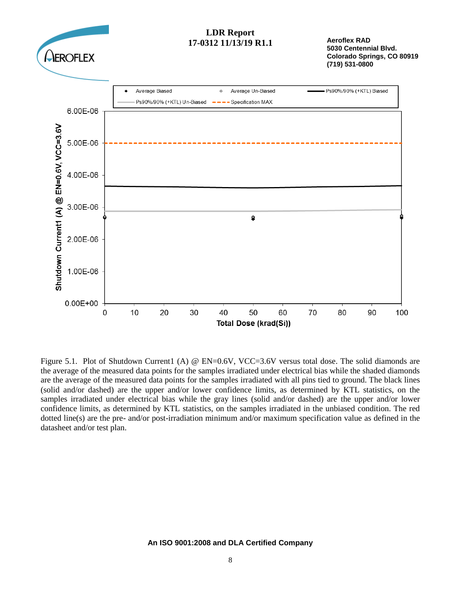

**Aeroflex RAD 5030 Centennial Blvd. Colorado Springs, CO 80919 (719) 531-0800**



Figure 5.1. Plot of Shutdown Current1 (A) @ EN=0.6V, VCC=3.6V versus total dose. The solid diamonds are the average of the measured data points for the samples irradiated under electrical bias while the shaded diamonds are the average of the measured data points for the samples irradiated with all pins tied to ground. The black lines (solid and/or dashed) are the upper and/or lower confidence limits, as determined by KTL statistics, on the samples irradiated under electrical bias while the gray lines (solid and/or dashed) are the upper and/or lower confidence limits, as determined by KTL statistics, on the samples irradiated in the unbiased condition. The red dotted line(s) are the pre- and/or post-irradiation minimum and/or maximum specification value as defined in the datasheet and/or test plan.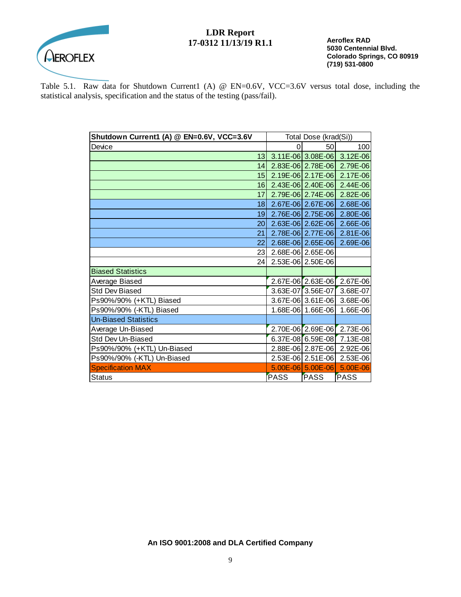

**Aeroflex RAD 5030 Centennial Blvd. Colorado Springs, CO 80919 (719) 531-0800**

Table 5.1. Raw data for Shutdown Current1 (A) @ EN=0.6V, VCC=3.6V versus total dose, including the statistical analysis, specification and the status of the testing (pass/fail).

| Shutdown Current1 (A) @ EN=0.6V, VCC=3.6V | Total Dose (krad(Si)) |                       |                            |
|-------------------------------------------|-----------------------|-----------------------|----------------------------|
| Device                                    | 0                     | 50                    | 100                        |
| 13 <sub>l</sub>                           |                       |                       | 3.11E-06 3.08E-06 3.12E-06 |
| 14                                        |                       |                       | 2.83E-06 2.78E-06 2.79E-06 |
| 15                                        |                       |                       | 2.19E-06 2.17E-06 2.17E-06 |
| 16                                        | $2.43E-06$ $2.40E-06$ |                       | $2.44E - 06$               |
| 17                                        |                       | 2.79E-06 2.74E-06     | $2.82E - 06$               |
| 18                                        | 2.67E-06 2.67E-06     |                       | 2.68E-06                   |
| 19                                        | 2.76E-06 2.75E-06     |                       | 2.80E-06                   |
| 20 <sub>l</sub>                           |                       | 2.63E-06 2.62E-06     | 2.66E-06                   |
| 21                                        |                       | 2.78E-06 2.77E-06     | 2.81E-06                   |
| 22                                        |                       | 2.68E-06 2.65E-06     | 2.69E-06                   |
| 23                                        | 2.68E-06 2.65E-06     |                       |                            |
| 24                                        |                       | 2.53E-06 2.50E-06     |                            |
| <b>Biased Statistics</b>                  |                       |                       |                            |
| Average Biased                            |                       | 2.67E-06 2.63E-06     | 2.67E-06                   |
| <b>Std Dev Biased</b>                     |                       | $3.63E-07$ 3.56E-07   | 3.68E-07                   |
| Ps90%/90% (+KTL) Biased                   |                       | 3.67E-06 3.61E-06     | 3.68E-06                   |
| Ps90%/90% (-KTL) Biased                   |                       | 1.68E-06 1.66E-06     | 1.66E-06                   |
| <b>Un-Biased Statistics</b>               |                       |                       |                            |
| Average Un-Biased                         |                       | 2.70E-06 2.69E-06     | 2.73E-06                   |
| Std Dev Un-Biased                         |                       | 6.37E-08 6.59E-08     | 7.13E-08                   |
| Ps90%/90% (+KTL) Un-Biased                |                       | 2.88E-06 2.87E-06     | 2.92E-06                   |
| Ps90%/90% (-KTL) Un-Biased                |                       | 2.53E-06 2.51E-06     | 2.53E-06                   |
| <b>Specification MAX</b>                  |                       | $5.00E - 06$ 5.00E-06 | 5.00E-06                   |
| <b>Status</b>                             | <b>PASS</b>           | <b>PASS</b>           | <b>PASS</b>                |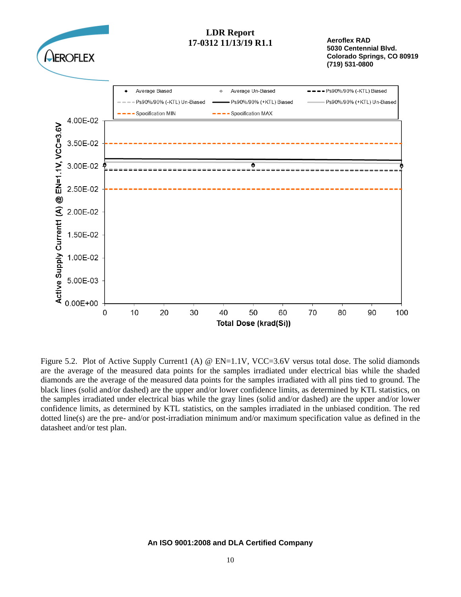

Figure 5.2. Plot of Active Supply Current1 (A) @ EN=1.1V, VCC=3.6V versus total dose. The solid diamonds are the average of the measured data points for the samples irradiated under electrical bias while the shaded diamonds are the average of the measured data points for the samples irradiated with all pins tied to ground. The black lines (solid and/or dashed) are the upper and/or lower confidence limits, as determined by KTL statistics, on the samples irradiated under electrical bias while the gray lines (solid and/or dashed) are the upper and/or lower confidence limits, as determined by KTL statistics, on the samples irradiated in the unbiased condition. The red dotted line(s) are the pre- and/or post-irradiation minimum and/or maximum specification value as defined in the datasheet and/or test plan.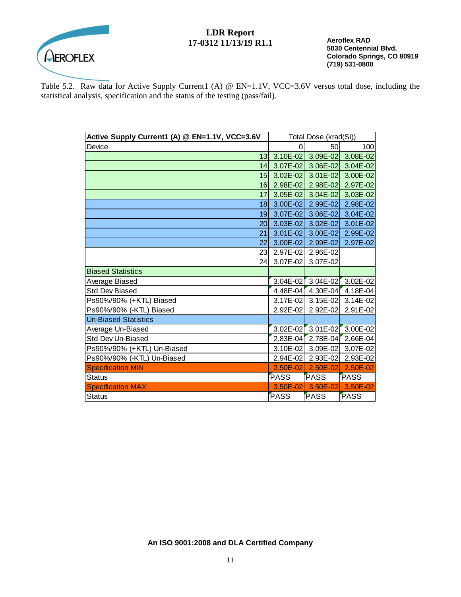

**Aeroflex RAD 5030 Centennial Blvd. Colorado Springs, CO 80919 (719) 531-0800**

Table 5.2. Raw data for Active Supply Current1 (A) @ EN=1.1V, VCC=3.6V versus total dose, including the statistical analysis, specification and the status of the testing (pass/fail).

| Active Supply Current1 (A) @ EN=1.1V, VCC=3.6V | Total Dose (krad(Si)) |                               |              |
|------------------------------------------------|-----------------------|-------------------------------|--------------|
| Device                                         | 0                     | 50                            | 100          |
|                                                |                       | 13 3.10E-02 3.09E-02 3.08E-02 |              |
| 4                                              | $3.07E - 02$          | $3.06E - 02$                  | 3.04E-02     |
|                                                | 15 3.02E-02           | $3.01E - 02$                  | 3.00E-02     |
|                                                |                       | 16 2.98E-02 2.98E-02          | 2.97E-02     |
| 17                                             | $3.05E - 02$          | $3.04E - 02$                  | 3.03E-02     |
| 18 <sup>1</sup>                                | $3.00E - 02$          | 2.99E-02                      | 2.98E-02     |
| 19 <sup>1</sup>                                | $3.07E-02$            | $3.06E - 02$                  | $3.04E - 02$ |
| 20 <sup>1</sup>                                | $3.03E - 02$          | $3.02E - 02$                  | 3.01E-02     |
| 21                                             | $3.01E - 02$          | 3.00E-02                      | 2.99E-02     |
| 22                                             | $3.00E - 02$          | $2.99E - 02$                  | 2.97E-02     |
|                                                | 23 2.97E-02           | 2.96E-02                      |              |
| 24                                             | 3.07E-02              | 3.07E-02                      |              |
| <b>Biased Statistics</b>                       |                       |                               |              |
| Average Biased                                 | $3.04E - 02$          | $3.04E - 02$                  | 3.02E-02     |
| <b>Std Dev Biased</b>                          | 4.48E-04              | 4.30E-04                      | 4.18E-04     |
| Ps90%/90% (+KTL) Biased                        |                       | 3.17E-02 3.15E-02             | 3.14E-02     |
| Ps90%/90% (-KTL) Biased                        | $2.92E - 02$          | 2.92E-02                      | 2.91E-02     |
| <b>Un-Biased Statistics</b>                    |                       |                               |              |
| Average Un-Biased                              |                       | 3.02E-02 3.01E-02             | $3.00E - 02$ |
| Std Dev Un-Biased                              | $2.83E - 04$          | 2.78E-04                      | 2.66E-04     |
| Ps90%/90% (+KTL) Un-Biased                     | 3.10E-02              | 3.09E-02                      | 3.07E-02     |
| Ps90%/90% (-KTL) Un-Biased                     |                       | 2.94E-02 2.93E-02             | 2.93E-02     |
| <b>Specification MIN</b>                       | $2.50E - 02$          | $2.50E - 02$                  | $2.50E - 02$ |
| Status                                         | <b>PASS</b>           | PASS                          | <b>PASS</b>  |
| <b>Specification MAX</b>                       | $3.50E - 02$          | 3.50E-02                      | 3.50E-02     |
| <b>Status</b>                                  | <b>PASS</b>           | <b>PASS</b>                   | PASS         |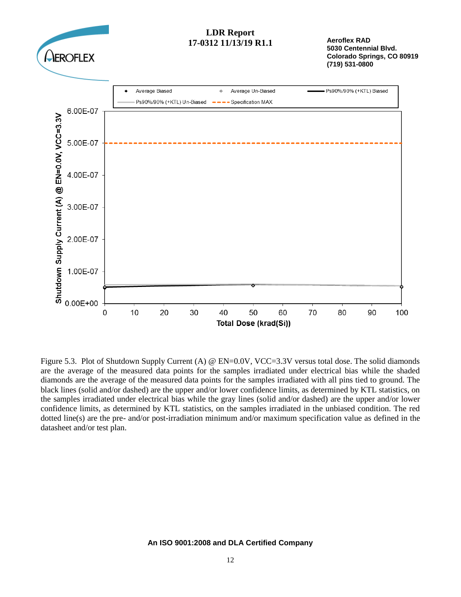

**Aeroflex RAD 5030 Centennial Blvd. Colorado Springs, CO 80919 (719) 531-0800**



Figure 5.3. Plot of Shutdown Supply Current (A) @ EN=0.0V, VCC=3.3V versus total dose. The solid diamonds are the average of the measured data points for the samples irradiated under electrical bias while the shaded diamonds are the average of the measured data points for the samples irradiated with all pins tied to ground. The black lines (solid and/or dashed) are the upper and/or lower confidence limits, as determined by KTL statistics, on the samples irradiated under electrical bias while the gray lines (solid and/or dashed) are the upper and/or lower confidence limits, as determined by KTL statistics, on the samples irradiated in the unbiased condition. The red dotted line(s) are the pre- and/or post-irradiation minimum and/or maximum specification value as defined in the datasheet and/or test plan.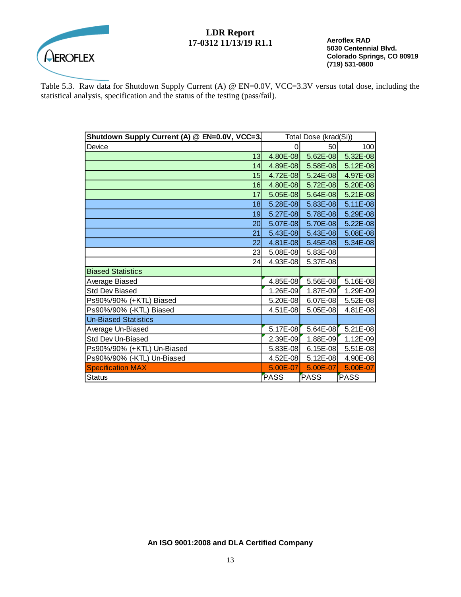

**Aeroflex RAD 5030 Centennial Blvd. Colorado Springs, CO 80919 (719) 531-0800**

Table 5.3. Raw data for Shutdown Supply Current (A) @ EN=0.0V, VCC=3.3V versus total dose, including the statistical analysis, specification and the status of the testing (pass/fail).

| Shutdown Supply Current (A) @ EN=0.0V, VCC=3. | Total Dose (krad(Si)) |              |            |
|-----------------------------------------------|-----------------------|--------------|------------|
| Device                                        | 0                     | 50           | 100        |
| 13                                            | 4.80E-08              | 5.62E-08     | 5.32E-08   |
| 14                                            | 4.89E-08              | 5.58E-08     | 5.12E-08   |
| 15                                            | 4.72E-08              | 5.24E-08     | 4.97E-08   |
| 16                                            | 4.80E-08              | 5.72E-08     | 5.20E-08   |
| 17                                            | $5.05E-08$            | 5.64E-08     | 5.21E-08   |
| 18                                            | 5.28E-08              | 5.83E-08     | 5.11E-08   |
| 19                                            | 5.27E-08              | 5.78E-08     | 5.29E-08   |
| 20                                            | 5.07E-08              | 5.70E-08     | 5.22E-08   |
| 21                                            | $5.43E-08$            | $5.43E-08$   | 5.08E-08   |
| 22                                            | 4.81E-08              | 5.45E-08     | 5.34E-08   |
| 23                                            | 5.08E-08              | 5.83E-08     |            |
| 24                                            | 4.93E-08              | 5.37E-08     |            |
| <b>Biased Statistics</b>                      |                       |              |            |
| Average Biased                                | $4.85E-08$            | 5.56E-08     | $5.16E-08$ |
| <b>Std Dev Biased</b>                         | 1.26E-09              | $1.87E - 09$ | 1.29E-09   |
| Ps90%/90% (+KTL) Biased                       | 5.20E-08              | 6.07E-08     | 5.52E-08   |
| Ps90%/90% (-KTL) Biased                       | 4.51E-08              | $5.05E-08$   | 4.81E-08   |
| <b>Un-Biased Statistics</b>                   |                       |              |            |
| Average Un-Biased                             | 5.17E-08              | $5.64E-08$   | 5.21E-08   |
| Std Dev Un-Biased                             | 2.39E-09              | $1.88E - 09$ | 1.12E-09   |
| Ps90%/90% (+KTL) Un-Biased                    | 5.83E-08              | 6.15E-08     | $5.51E-08$ |
| Ps90%/90% (-KTL) Un-Biased                    | 4.52E-08              | 5.12E-08     | 4.90E-08   |
| <b>Specification MAX</b>                      | 5.00E-07              | 5.00E-07     | 5.00E-07   |
| <b>Status</b>                                 | <b>PASS</b>           | <b>PASS</b>  | PASS       |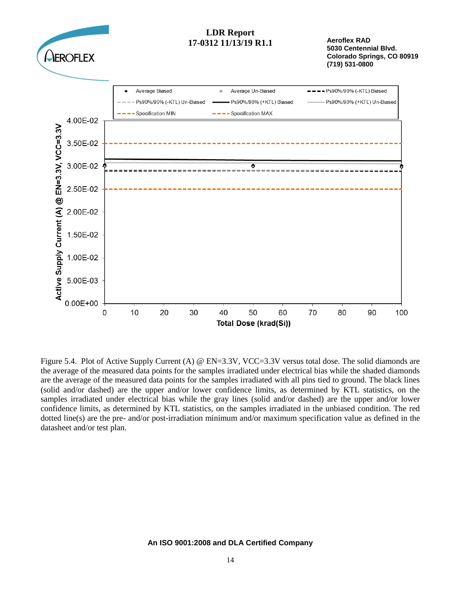

Figure 5.4. Plot of Active Supply Current (A) @ EN=3.3V, VCC=3.3V versus total dose. The solid diamonds are the average of the measured data points for the samples irradiated under electrical bias while the shaded diamonds are the average of the measured data points for the samples irradiated with all pins tied to ground. The black lines (solid and/or dashed) are the upper and/or lower confidence limits, as determined by KTL statistics, on the samples irradiated under electrical bias while the gray lines (solid and/or dashed) are the upper and/or lower confidence limits, as determined by KTL statistics, on the samples irradiated in the unbiased condition. The red dotted line(s) are the pre- and/or post-irradiation minimum and/or maximum specification value as defined in the datasheet and/or test plan.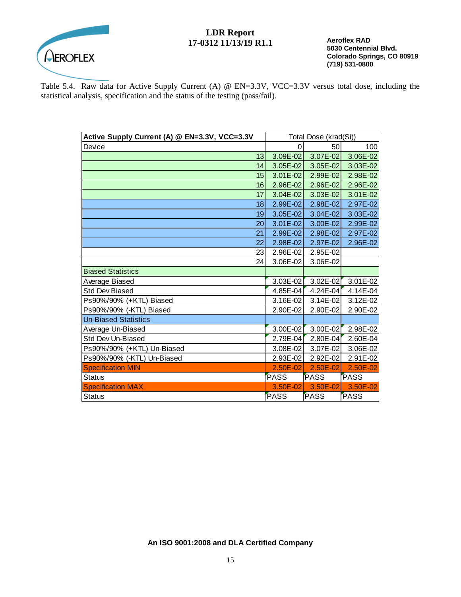

**Aeroflex RAD 5030 Centennial Blvd. Colorado Springs, CO 80919 (719) 531-0800**

Table 5.4. Raw data for Active Supply Current (A) @ EN=3.3V, VCC=3.3V versus total dose, including the statistical analysis, specification and the status of the testing (pass/fail).

| Active Supply Current (A) @ EN=3.3V, VCC=3.3V | Total Dose (krad(Si)) |              |              |
|-----------------------------------------------|-----------------------|--------------|--------------|
| Device                                        | O                     | 50           | 100          |
| 13                                            | 3.09E-02              | $3.07E - 02$ | 3.06E-02     |
| 14                                            | 3.05E-02              | 3.05E-02     | 3.03E-02     |
| 15                                            | 3.01E-02              | 2.99E-02     | 2.98E-02     |
| 16                                            | 2.96E-02              | $2.96E - 02$ | 2.96E-02     |
| 17                                            | 3.04E-02              | $3.03E - 02$ | 3.01E-02     |
| 18                                            | 2.99E-02              | 2.98E-02     | 2.97E-02     |
| 19                                            | 3.05E-02              | 3.04E-02     | 3.03E-02     |
| 20                                            | $3.01E - 02$          | 3.00E-02     | 2.99E-02     |
| 21                                            | 2.99E-02              | 2.98E-02     | 2.97E-02     |
| 22                                            | 2.98E-02              | 2.97E-02     | 2.96E-02     |
| 23                                            | 2.96E-02              | 2.95E-02     |              |
| 24                                            | 3.06E-02              | 3.06E-02     |              |
| <b>Biased Statistics</b>                      |                       |              |              |
| Average Biased                                | 3.03E-02              | $3.02E - 02$ | 3.01E-02     |
| <b>Std Dev Biased</b>                         | 4.85E-04              | 4.24E-04     | 4.14E-04     |
| Ps90%/90% (+KTL) Biased                       | 3.16E-02              | 3.14E-02     | 3.12E-02     |
| Ps90%/90% (-KTL) Biased                       | 2.90E-02              | 2.90E-02     | 2.90E-02     |
| <b>Un-Biased Statistics</b>                   |                       |              |              |
| Average Un-Biased                             | 3.00E-02              | 3.00E-02     | 2.98E-02     |
| Std Dev Un-Biased                             | 2.79E-04              | $2.80E - 04$ | 2.60E-04     |
| Ps90%/90% (+KTL) Un-Biased                    | 3.08E-02              | 3.07E-02     | 3.06E-02     |
| Ps90%/90% (-KTL) Un-Biased                    | 2.93E-02              | 2.92E-02     | 2.91E-02     |
| <b>Specification MIN</b>                      | $2.50E - 02$          | $2.50E - 02$ | $2.50E - 02$ |
| <b>Status</b>                                 | <b>PASS</b>           | PASS         | PASS         |
| <b>Specification MAX</b>                      | 3.50E-02              | $3.50E - 02$ | 3.50E-02     |
| <b>Status</b>                                 | PASS                  | PASS         | <b>PASS</b>  |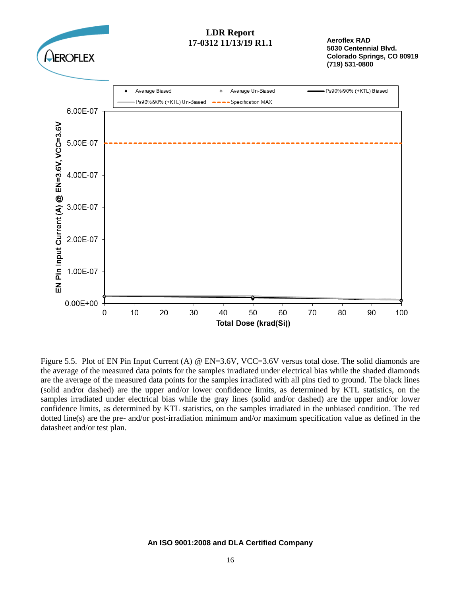

Figure 5.5. Plot of EN Pin Input Current (A) @ EN=3.6V, VCC=3.6V versus total dose. The solid diamonds are the average of the measured data points for the samples irradiated under electrical bias while the shaded diamonds are the average of the measured data points for the samples irradiated with all pins tied to ground. The black lines (solid and/or dashed) are the upper and/or lower confidence limits, as determined by KTL statistics, on the samples irradiated under electrical bias while the gray lines (solid and/or dashed) are the upper and/or lower confidence limits, as determined by KTL statistics, on the samples irradiated in the unbiased condition. The red dotted line(s) are the pre- and/or post-irradiation minimum and/or maximum specification value as defined in the datasheet and/or test plan.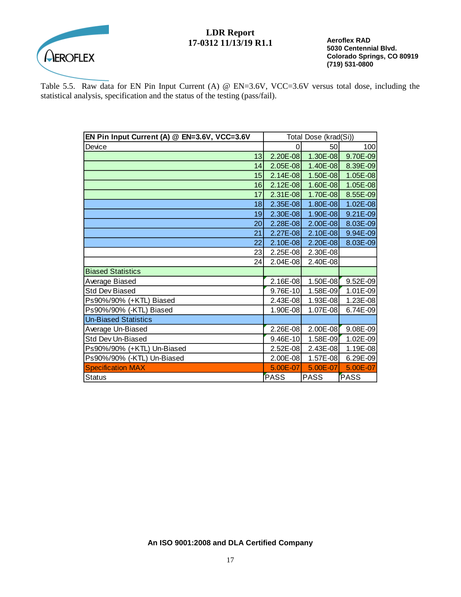

**Aeroflex RAD 5030 Centennial Blvd. Colorado Springs, CO 80919 (719) 531-0800**

Table 5.5. Raw data for EN Pin Input Current (A) @ EN=3.6V, VCC=3.6V versus total dose, including the statistical analysis, specification and the status of the testing (pass/fail).

| EN Pin Input Current (A) @ EN=3.6V, VCC=3.6V | Total Dose (krad(Si)) |              |              |
|----------------------------------------------|-----------------------|--------------|--------------|
| Device                                       | 0                     | 50           | 100          |
| 13                                           | 2.20E-08              | 1.30E-08     | 9.70E-09     |
| 14                                           | 2.05E-08              | 1.40E-08     | 8.39E-09     |
| 15                                           | $2.14E-08$            | $1.50E-08$   | 1.05E-08     |
| 16                                           | $2.12E-08$            | 1.60E-08     | 1.05E-08     |
| 17                                           | $2.31E-08$            | 1.70E-08     | 8.55E-09     |
| 18                                           | 2.35E-08              | $1.80E - 08$ | 1.02E-08     |
| 19                                           | 2.30E-08              | $1.90E-08$   | 9.21E-09     |
| 20                                           | 2.28E-08              | $2.00E-08$   | 8.03E-09     |
| 21                                           | 2.27E-08              | $2.10E-08$   | 9.94E-09     |
| 22                                           | 2.10E-08              | 2.20E-08     | 8.03E-09     |
| 23                                           | 2.25E-08              | 2.30E-08     |              |
| 24                                           | $2.04E-08$            | 2.40E-08     |              |
| <b>Biased Statistics</b>                     |                       |              |              |
| Average Biased                               | 2.16E-08              | 1.50E-08     | $9.52E - 09$ |
| <b>Std Dev Biased</b>                        | 9.76E-10              | 1.58E-09     | 1.01E-09     |
| Ps90%/90% (+KTL) Biased                      | 2.43E-08              | 1.93E-08     | 1.23E-08     |
| Ps90%/90% (-KTL) Biased                      | 1.90E-08              | 1.07E-08     | 6.74E-09     |
| <b>Un-Biased Statistics</b>                  |                       |              |              |
| Average Un-Biased                            | 2.26E-08              | 2.00E-08     | $9.08E - 09$ |
| Std Dev Un-Biased                            | $9.46E-10$            | 1.58E-09     | 1.02E-09     |
| Ps90%/90% (+KTL) Un-Biased                   | 2.52E-08              | $2.43E-08$   | $1.19E-08$   |
| Ps90%/90% (-KTL) Un-Biased                   | 2.00E-08              | 1.57E-08     | $6.29E-09$   |
| <b>Specification MAX</b>                     | 5.00E-07              | 5.00E-07     | 5.00E-07     |
| <b>Status</b>                                | PASS                  | <b>PASS</b>  | PASS         |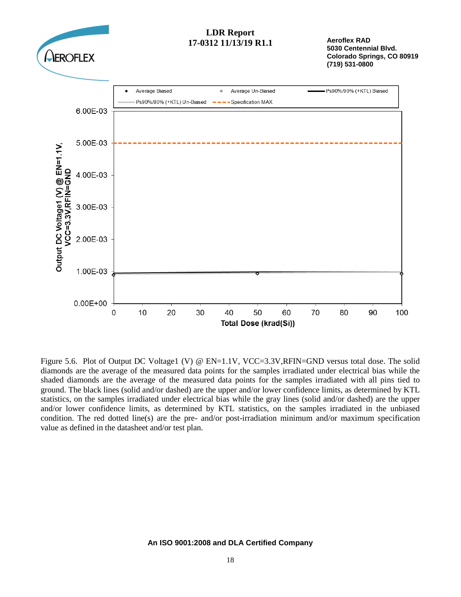

Figure 5.6. Plot of Output DC Voltage1 (V) @ EN=1.1V, VCC=3.3V,RFIN=GND versus total dose. The solid diamonds are the average of the measured data points for the samples irradiated under electrical bias while the shaded diamonds are the average of the measured data points for the samples irradiated with all pins tied to ground. The black lines (solid and/or dashed) are the upper and/or lower confidence limits, as determined by KTL statistics, on the samples irradiated under electrical bias while the gray lines (solid and/or dashed) are the upper and/or lower confidence limits, as determined by KTL statistics, on the samples irradiated in the unbiased condition. The red dotted line(s) are the pre- and/or post-irradiation minimum and/or maximum specification value as defined in the datasheet and/or test plan.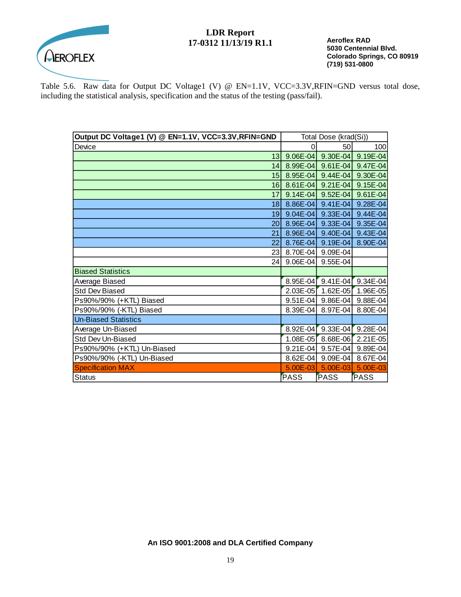

**Aeroflex RAD 5030 Centennial Blvd. Colorado Springs, CO 80919 (719) 531-0800**

Table 5.6. Raw data for Output DC Voltage1 (V) @ EN=1.1V, VCC=3.3V,RFIN=GND versus total dose, including the statistical analysis, specification and the status of the testing (pass/fail).

| Output DC Voltage1 (V) @ EN=1.1V, VCC=3.3V, RFIN=GND |              | Total Dose (krad(Si)) |              |
|------------------------------------------------------|--------------|-----------------------|--------------|
| Device                                               | 0            | 50                    | 100          |
| 13                                                   | $9.06E - 04$ | $9.30E - 04$          | 9.19E-04     |
| 14 <sup>1</sup>                                      | $8.99E - 04$ | $9.61E - 04$          | 9.47E-04     |
| 15 <sup>1</sup>                                      | 8.95E-04     | $9.44E - 04$          | 9.30E-04     |
| 16                                                   | $8.61E - 04$ | $9.21E-04$            | 9.15E-04     |
| 17                                                   | $9.14E-04$   | $9.52E - 04$          | $9.61E - 04$ |
| 18 <sup>1</sup>                                      | $8.86E - 04$ | $9.41E - 04$          | 9.28E-04     |
| 19 <sup>1</sup>                                      | $9.04E - 04$ | $9.33E - 04$          | 9.44E-04     |
| 20 <sup>1</sup>                                      | 8.96E-04     | $9.33E - 04$          | 9.35E-04     |
| 21                                                   | 8.96E-04     | 9.40E-04              | 9.43E-04     |
| 22                                                   | 8.76E-04     | $9.19E - 04$          | 8.90E-04     |
| 23 <sub>l</sub>                                      | 8.70E-04     | 9.09E-04              |              |
| 24                                                   | $9.06E - 04$ | 9.55E-04              |              |
| <b>Biased Statistics</b>                             |              |                       |              |
| Average Biased                                       | $8.95E - 04$ | $9.41E - 04$          | 9.34E-04     |
| <b>Std Dev Biased</b>                                | $2.03E - 05$ | 1.62E-05              | 1.96E-05     |
| Ps90%/90% (+KTL) Biased                              | $9.51E - 04$ | $9.86E - 04$          | 9.88E-04     |
| Ps90%/90% (-KTL) Biased                              | 8.39E-04     | 8.97E-04              | 8.80E-04     |
| <b>Un-Biased Statistics</b>                          |              |                       |              |
| Average Un-Biased                                    | 8.92E-04     | $9.33E - 04$          | $9.28E - 04$ |
| Std Dev Un-Biased                                    | $1.08E - 05$ | $8.68E - 06$          | 2.21E-05     |
| Ps90%/90% (+KTL) Un-Biased                           | $9.21E - 04$ | $9.57E-04$            | 9.89E-04     |
| Ps90%/90% (-KTL) Un-Biased                           | 8.62E-04     | $9.09E - 04$          | 8.67E-04     |
| <b>Specification MAX</b>                             | $5.00E - 03$ | $5.00E - 03$          | 5.00E-03     |
| <b>Status</b>                                        | <b>PASS</b>  | <b>PASS</b>           | PASS         |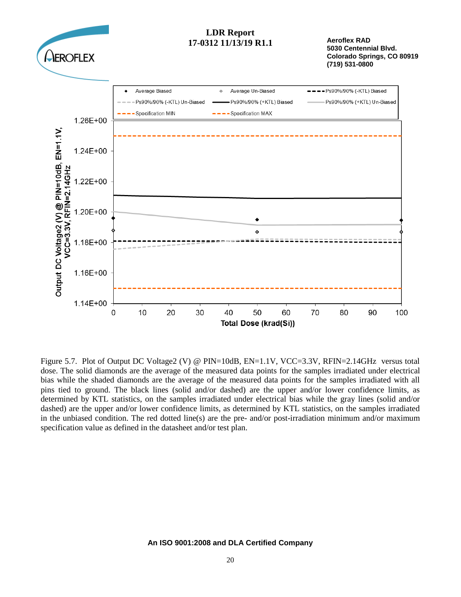

Figure 5.7. Plot of Output DC Voltage2 (V) @ PIN=10dB, EN=1.1V, VCC=3.3V, RFIN=2.14GHz versus total dose. The solid diamonds are the average of the measured data points for the samples irradiated under electrical bias while the shaded diamonds are the average of the measured data points for the samples irradiated with all pins tied to ground. The black lines (solid and/or dashed) are the upper and/or lower confidence limits, as determined by KTL statistics, on the samples irradiated under electrical bias while the gray lines (solid and/or dashed) are the upper and/or lower confidence limits, as determined by KTL statistics, on the samples irradiated in the unbiased condition. The red dotted line(s) are the pre- and/or post-irradiation minimum and/or maximum specification value as defined in the datasheet and/or test plan.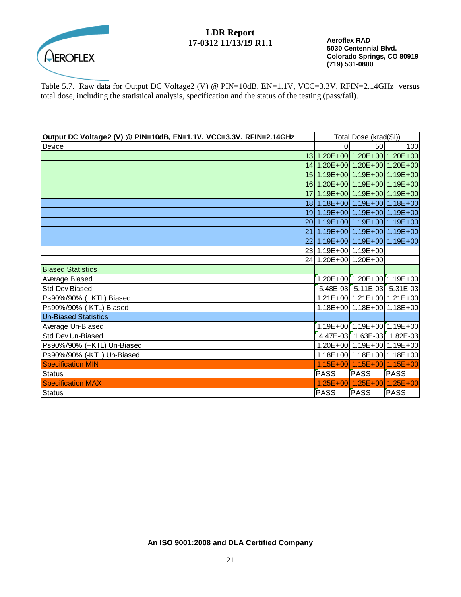

**Aeroflex RAD 5030 Centennial Blvd. Colorado Springs, CO 80919 (719) 531-0800**

Table 5.7. Raw data for Output DC Voltage2 (V) @ PIN=10dB, EN=1.1V, VCC=3.3V, RFIN=2.14GHz versus total dose, including the statistical analysis, specification and the status of the testing (pass/fail).

| Output DC Voltage2 (V) @ PIN=10dB, EN=1.1V, VCC=3.3V, RFIN=2.14GHz |                      | Total Dose (krad(Si))                  |                                  |
|--------------------------------------------------------------------|----------------------|----------------------------------------|----------------------------------|
| Device                                                             |                      | 50                                     | 100                              |
|                                                                    |                      | 13 1.20E+00 1.20E+00 1.20E+00          |                                  |
|                                                                    |                      | 14 1.20E+00 1.20E+00 1.20E+00          |                                  |
|                                                                    |                      | 15 1.19E+00 1.19E+00 1.19E+00          |                                  |
|                                                                    |                      | 16 1.20E+00 1.19E+00 1.19E+00          |                                  |
|                                                                    |                      | 17 1.19E+00 1.19E+00 1.19E+00          |                                  |
|                                                                    |                      | 18 1.18 E + 00 1.19 E + 00 1.18 E + 00 |                                  |
|                                                                    |                      | 19 1.19E+00 1.19E+00 1.19E+00          |                                  |
|                                                                    |                      | 20 1.19E+00 1.19E+00 1.19E+00          |                                  |
| 211                                                                |                      | 1.19E+00 1.19E+00 1.19E+00             |                                  |
|                                                                    |                      |                                        | 22 1.19E+00 1.19E+00 1.19E+00    |
|                                                                    |                      | 23 1.19E+00 1.19E+00                   |                                  |
|                                                                    | 24 1.20E+00 1.20E+00 |                                        |                                  |
| <b>Biased Statistics</b>                                           |                      |                                        |                                  |
| Average Biased                                                     |                      | $1.20E+00$ $1.20E+00$ $1.19E+00$       |                                  |
| <b>Std Dev Biased</b>                                              |                      |                                        | $5.48E-03$ 5.11E-03 5.31E-03     |
| Ps90%/90% (+KTL) Biased                                            |                      |                                        | 1.21E+00 1.21E+00 1.21E+00       |
| Ps90%/90% (-KTL) Biased                                            |                      | 1.18E+00 1.18E+00 1.18E+00             |                                  |
| <b>Un-Biased Statistics</b>                                        |                      |                                        |                                  |
| Average Un-Biased                                                  |                      |                                        | $1.19E+00$ $1.19E+00$ $1.19E+00$ |
| <b>Std Dev Un-Biased</b>                                           |                      | 4.47E-03 1.63E-03 1.82E-03             |                                  |
| Ps90%/90% (+KTL) Un-Biased                                         |                      | 1.20E+00 1.19E+00 1.19E+00             |                                  |
| Ps90%/90% (-KTL) Un-Biased                                         |                      |                                        | 1.18E+00 1.18E+00 1.18E+00       |
| <b>Specification MIN</b>                                           |                      | $1.15E+00$ 1.15E + 00 1.15E + 00       |                                  |
| Status                                                             | <b>PASS</b>          | PASS                                   | <b>PASS</b>                      |
| <b>Specification MAX</b>                                           |                      | $1.25E+00$ 1.25E + 00 1.25E + 00       |                                  |
| Status                                                             | <b>PASS</b>          | PASS                                   | PASS                             |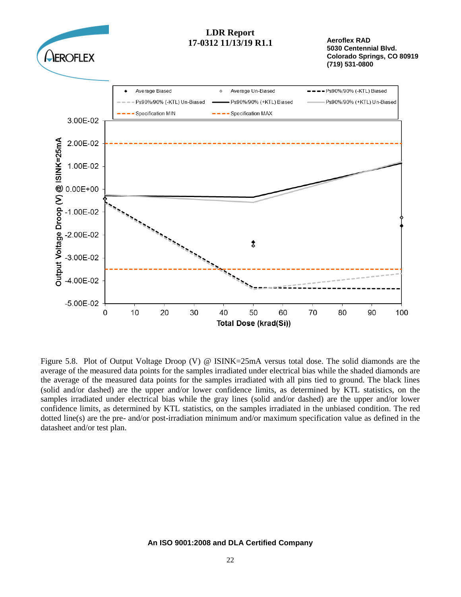

Figure 5.8. Plot of Output Voltage Droop (V) @ ISINK=25mA versus total dose. The solid diamonds are the average of the measured data points for the samples irradiated under electrical bias while the shaded diamonds are the average of the measured data points for the samples irradiated with all pins tied to ground. The black lines (solid and/or dashed) are the upper and/or lower confidence limits, as determined by KTL statistics, on the samples irradiated under electrical bias while the gray lines (solid and/or dashed) are the upper and/or lower confidence limits, as determined by KTL statistics, on the samples irradiated in the unbiased condition. The red dotted line(s) are the pre- and/or post-irradiation minimum and/or maximum specification value as defined in the datasheet and/or test plan.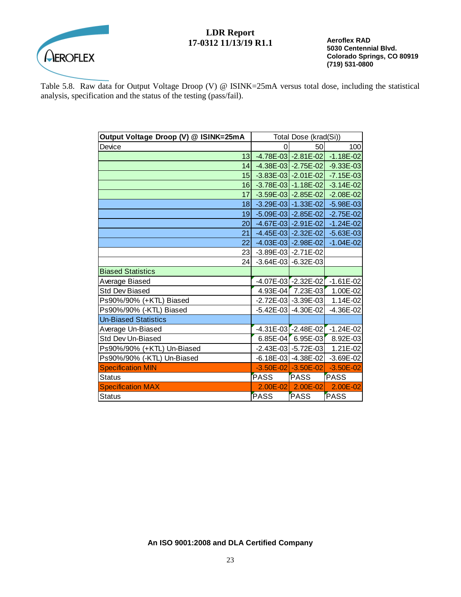

**Aeroflex RAD 5030 Centennial Blvd. Colorado Springs, CO 80919 (719) 531-0800**

Table 5.8. Raw data for Output Voltage Droop (V) @ ISINK=25mA versus total dose, including the statistical analysis, specification and the status of the testing (pass/fail).

| Output Voltage Droop (V) @ ISINK=25mA | Total Dose (krad(Si)) |                             |                                           |
|---------------------------------------|-----------------------|-----------------------------|-------------------------------------------|
| Device                                | 0                     | 50                          | 100                                       |
| 13 <sub>l</sub>                       |                       |                             | $-4.78E - 03$ $-2.81E - 02$ $-1.18E - 02$ |
| 14                                    |                       |                             | $-4.38E - 03$ $-2.75E - 02$ $-9.33E - 03$ |
| 15 <sup>1</sup>                       |                       | $-3.83E - 03$ $-2.01E - 02$ | $-7.15E - 03$                             |
| 16                                    |                       |                             | $-3.78E - 03$ $-1.18E - 02$ $-3.14E - 02$ |
| 17                                    |                       | $-3.59E - 03$ $-2.85E - 02$ | $-2.08E - 02$                             |
| 18                                    |                       | $-3.29E - 03$ $-1.33E - 02$ | $-5.98E - 03$                             |
| 19 <sup>1</sup>                       |                       |                             | $-5.09E - 03$ $-2.85E - 02$ $-2.75E - 02$ |
| 20 <sup>1</sup>                       |                       | $-4.67E - 03$ $-2.91E - 02$ | $-1.24E - 02$                             |
| 21                                    |                       | $-4.45E - 03$ $-2.32E - 02$ | $-5.63E - 03$                             |
| 22                                    |                       | $-4.03E - 03$ $-2.98E - 02$ | $-1.04E - 02$                             |
| 23                                    |                       | $-3.89E - 03$ $-2.71E - 02$ |                                           |
| 24                                    |                       | $-3.64E - 03$ $-6.32E - 03$ |                                           |
| <b>Biased Statistics</b>              |                       |                             |                                           |
| Average Biased                        |                       | $-4.07E - 03$ -2.32E-02     | $-1.61E-02$                               |
| <b>Std Dev Biased</b>                 |                       | 4.93E-04 7.23E-03           | 1.00E-02                                  |
| Ps90%/90% (+KTL) Biased               |                       | $-2.72E - 03$ $-3.39E - 03$ | 1.14E-02                                  |
| Ps90%/90% (-KTL) Biased               |                       | $-5.42E - 03$ $-4.30E - 02$ | $-4.36E - 02$                             |
| <b>Un-Biased Statistics</b>           |                       |                             |                                           |
| Average Un-Biased                     |                       |                             | $-4.31E - 03$ $-2.48E - 02$ $-1.24E - 02$ |
| Std Dev Un-Biased                     |                       | 6.85E-04 6.95E-03           | 8.92E-03                                  |
| Ps90%/90% (+KTL) Un-Biased            |                       | -2.43E-03 - 5.72E-03        | 1.21E-02                                  |
| Ps90%/90% (-KTL) Un-Biased            |                       | $-6.18E - 03$ $-4.38E - 02$ | $-3.69E - 02$                             |
| <b>Specification MIN</b>              |                       | $-3.50E - 02$ $-3.50E - 02$ | $-3.50E - 02$                             |
| <b>Status</b>                         | <b>PASS</b>           | <b>PASS</b>                 | <b>PASS</b>                               |
| <b>Specification MAX</b>              | $2.00E - 02$          | 2.00E-02                    | 2.00E-02                                  |
| <b>Status</b>                         | PASS                  | <b>PASS</b>                 | <b>PASS</b>                               |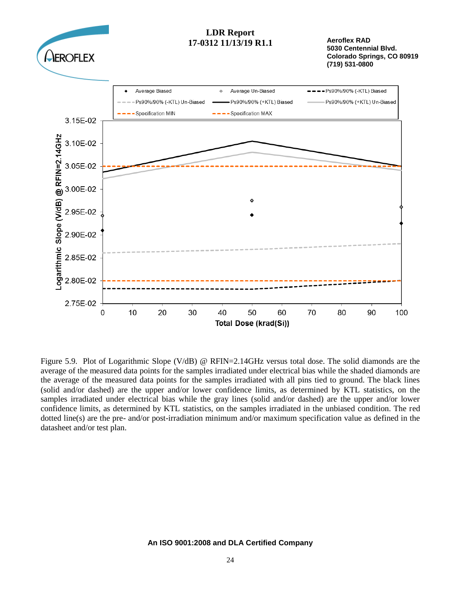

Figure 5.9. Plot of Logarithmic Slope (V/dB) @ RFIN=2.14GHz versus total dose. The solid diamonds are the average of the measured data points for the samples irradiated under electrical bias while the shaded diamonds are the average of the measured data points for the samples irradiated with all pins tied to ground. The black lines (solid and/or dashed) are the upper and/or lower confidence limits, as determined by KTL statistics, on the samples irradiated under electrical bias while the gray lines (solid and/or dashed) are the upper and/or lower confidence limits, as determined by KTL statistics, on the samples irradiated in the unbiased condition. The red dotted line(s) are the pre- and/or post-irradiation minimum and/or maximum specification value as defined in the datasheet and/or test plan.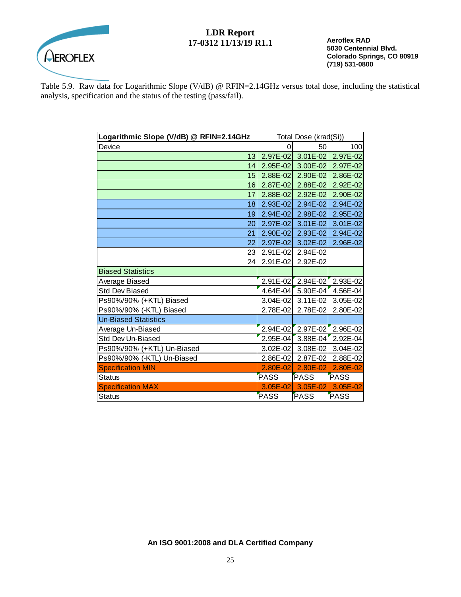

**Aeroflex RAD 5030 Centennial Blvd. Colorado Springs, CO 80919 (719) 531-0800**

Table 5.9. Raw data for Logarithmic Slope (V/dB) @ RFIN=2.14GHz versus total dose, including the statistical analysis, specification and the status of the testing (pass/fail).

| Logarithmic Slope (V/dB) @ RFIN=2.14GHz | Total Dose (krad(Si)) |              |                     |
|-----------------------------------------|-----------------------|--------------|---------------------|
| Device                                  | 0                     | 50           | 100                 |
| 13                                      | 2.97E-02              |              | $3.01E-02$ 2.97E-02 |
| 14                                      | $2.95E - 02$          | 3.00E-02     | 2.97E-02            |
| 15                                      | 2.88E-02              | 2.90E-02     | 2.86E-02            |
| 16                                      | $2.87E - 02$          | $2.88E - 02$ | 2.92E-02            |
| 17                                      | $2.88E - 02$          | $2.92E - 02$ | 2.90E-02            |
| 18                                      | 2.93E-02              | 2.94E-02     | 2.94E-02            |
| 19                                      | $2.94E-02$            | 2.98E-02     | 2.95E-02            |
| 20                                      | 2.97E-02              | $3.01E - 02$ | 3.01E-02            |
| 21                                      | 2.90E-02              | 2.93E-02     | 2.94E-02            |
| 22                                      | 2.97E-02              | $3.02E - 02$ | 2.96E-02            |
| 23                                      | 2.91E-02              | 2.94E-02     |                     |
| 24                                      | 2.91E-02              | 2.92E-02     |                     |
| <b>Biased Statistics</b>                |                       |              |                     |
| Average Biased                          | $2.91E-02$            | $2.94E - 02$ | 2.93E-02            |
| <b>Std Dev Biased</b>                   | $4.64E - 04$          | 5.90E-04     | 4.56E-04            |
| Ps90%/90% (+KTL) Biased                 | $3.04E - 02$          | 3.11E-02     | 3.05E-02            |
| Ps90%/90% (-KTL) Biased                 | 2.78E-02              | 2.78E-02     | 2.80E-02            |
| <b>Un-Biased Statistics</b>             |                       |              |                     |
| Average Un-Biased                       | $2.94E - 02$          | $2.97E-02$   | 2.96E-02            |
| Std Dev Un-Biased                       | $2.95E - 04$          | 3.88E-04     | 2.92E-04            |
| Ps90%/90% (+KTL) Un-Biased              | $3.02E - 02$          | 3.08E-02     | 3.04E-02            |
| Ps90%/90% (-KTL) Un-Biased              | 2.86E-02              | 2.87E-02     | 2.88E-02            |
| <b>Specification MIN</b>                | 2.80E-02              | $2.80E - 02$ | $2.80E - 02$        |
| <b>Status</b>                           | <b>PASS</b>           | <b>PASS</b>  | PASS                |
| <b>Specification MAX</b>                | 3.05E-02              | 3.05E-02     | 3.05E-02            |
| <b>Status</b>                           | PASS                  | PASS         | PASS                |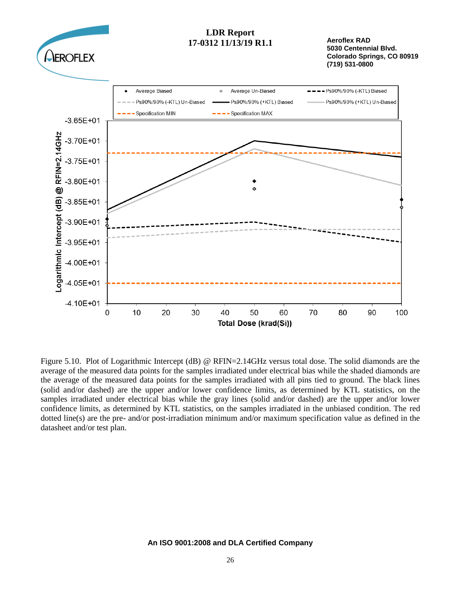

**Aeroflex RAD 5030 Centennial Blvd. Colorado Springs, CO 80919 (719) 531-0800**



Figure 5.10. Plot of Logarithmic Intercept (dB) @ RFIN=2.14GHz versus total dose. The solid diamonds are the average of the measured data points for the samples irradiated under electrical bias while the shaded diamonds are the average of the measured data points for the samples irradiated with all pins tied to ground. The black lines (solid and/or dashed) are the upper and/or lower confidence limits, as determined by KTL statistics, on the samples irradiated under electrical bias while the gray lines (solid and/or dashed) are the upper and/or lower confidence limits, as determined by KTL statistics, on the samples irradiated in the unbiased condition. The red dotted line(s) are the pre- and/or post-irradiation minimum and/or maximum specification value as defined in the datasheet and/or test plan.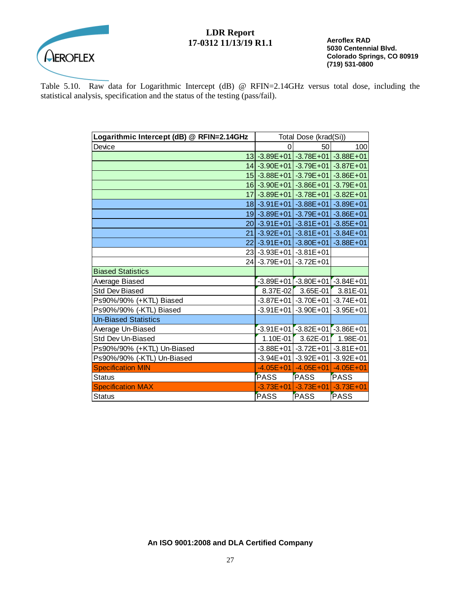

**Aeroflex RAD 5030 Centennial Blvd. Colorado Springs, CO 80919 (719) 531-0800**

Table 5.10. Raw data for Logarithmic Intercept (dB) @ RFIN=2.14GHz versus total dose, including the statistical analysis, specification and the status of the testing (pass/fail).

| Logarithmic Intercept (dB) @ RFIN=2.14GHz | Total Dose (krad(Si))                        |                                     |               |
|-------------------------------------------|----------------------------------------------|-------------------------------------|---------------|
| Device                                    | 0                                            | 50                                  | 100           |
|                                           | 13 - 3.89 E + 01 - 3.78 E + 01 - 3.88 E + 01 |                                     |               |
|                                           | 14 - 3.90E + 01 - 3.79E + 01 - 3.87E + 01    |                                     |               |
|                                           | 15 - 3.88E + 01                              | $-3.79E + 01$                       | $-3.86E + 01$ |
|                                           | 16 - 3.90E + 01 - 3.86E + 01 - 3.79E + 01    |                                     |               |
|                                           | 17 - 3.89 E + 01 - 3.78 E + 01               |                                     | $-3.82E + 01$ |
|                                           | 18 - 3.91 E + 01                             | $-3.88E + 01$                       | $-3.89E + 01$ |
|                                           | 19 - 3.89 E + 01 - 3.79 E + 01               |                                     | $-3.86E + 01$ |
|                                           | 20 - 3.91 E + 01                             | $-3.81E+01$                         | $-3.85E + 01$ |
|                                           | 21 - 3.92E + 01                              | $-3.81E+01$                         | $-3.84E + 01$ |
|                                           | 22 - 3.91 E + 01 - 3.80 E + 01               |                                     | $-3.88E + 01$ |
|                                           | 23 - 3.93E + 01                              | $-3.81E + 01$                       |               |
| 24                                        | $-3.79E + 01$                                | $-3.72E + 01$                       |               |
| <b>Biased Statistics</b>                  |                                              |                                     |               |
| Average Biased                            |                                              | $-3.89E+01$ $-3.80E+01$ $-3.84E+01$ |               |
| <b>Std Dev Biased</b>                     | 8.37E-02                                     | 3.65E-01                            | 3.81E-01      |
| Ps90%/90% (+KTL) Biased                   |                                              | $-3.87E+01$ $-3.70E+01$ $-3.74E+01$ |               |
| Ps90%/90% (-KTL) Biased                   | $-3.91E + 01$                                | $-3.90E + 01$                       | $-3.95E + 01$ |
| <b>Un-Biased Statistics</b>               |                                              |                                     |               |
| Average Un-Biased                         |                                              | $-3.91E+01$ $-3.82E+01$ $-3.86E+01$ |               |
| Std Dev Un-Biased                         | $1.10E-01$                                   | 3.62E-01                            | 1.98E-01      |
| Ps90%/90% (+KTL) Un-Biased                | $-3.88E + 01$                                | $-3.72E + 01$                       | $-3.81E + 01$ |
| Ps90%/90% (-KTL) Un-Biased                |                                              | $-3.94E+01$ $-3.92E+01$ $-3.92E+01$ |               |
| <b>Specification MIN</b>                  | $-4.05E + 01$                                | $-4.05E + 01$                       | $-4.05E + 01$ |
| <b>Status</b>                             | <b>PASS</b>                                  | <b>PASS</b>                         | <b>PASS</b>   |
| <b>Specification MAX</b>                  | $-3.73E + 01$                                | $-3.73E+01$                         | $-3.73E + 01$ |
| <b>Status</b>                             | <b>PASS</b>                                  | PASS                                | <b>PASS</b>   |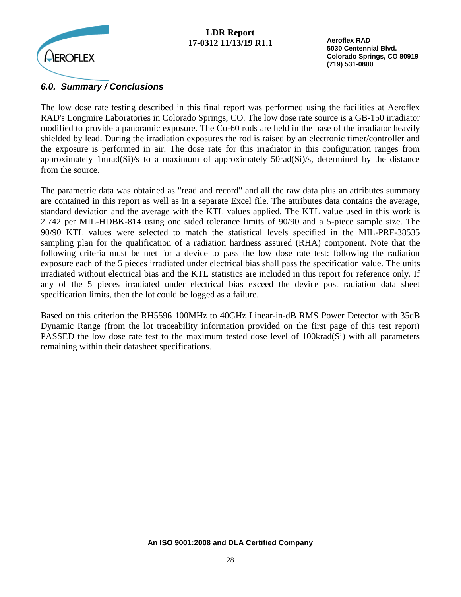

**Aeroflex RAD 5030 Centennial Blvd. Colorado Springs, CO 80919 (719) 531-0800**

## *6.0. Summary / Conclusions*

The low dose rate testing described in this final report was performed using the facilities at Aeroflex RAD's Longmire Laboratories in Colorado Springs, CO. The low dose rate source is a GB-150 irradiator modified to provide a panoramic exposure. The Co-60 rods are held in the base of the irradiator heavily shielded by lead. During the irradiation exposures the rod is raised by an electronic timer/controller and the exposure is performed in air. The dose rate for this irradiator in this configuration ranges from approximately 1mrad(Si)/s to a maximum of approximately 50rad(Si)/s, determined by the distance from the source.

The parametric data was obtained as "read and record" and all the raw data plus an attributes summary are contained in this report as well as in a separate Excel file. The attributes data contains the average, standard deviation and the average with the KTL values applied. The KTL value used in this work is 2.742 per MIL-HDBK-814 using one sided tolerance limits of 90/90 and a 5-piece sample size. The 90/90 KTL values were selected to match the statistical levels specified in the MIL-PRF-38535 sampling plan for the qualification of a radiation hardness assured (RHA) component. Note that the following criteria must be met for a device to pass the low dose rate test: following the radiation exposure each of the 5 pieces irradiated under electrical bias shall pass the specification value. The units irradiated without electrical bias and the KTL statistics are included in this report for reference only. If any of the 5 pieces irradiated under electrical bias exceed the device post radiation data sheet specification limits, then the lot could be logged as a failure.

Based on this criterion the RH5596 100MHz to 40GHz Linear-in-dB RMS Power Detector with 35dB Dynamic Range (from the lot traceability information provided on the first page of this test report) PASSED the low dose rate test to the maximum tested dose level of 100krad(Si) with all parameters remaining within their datasheet specifications.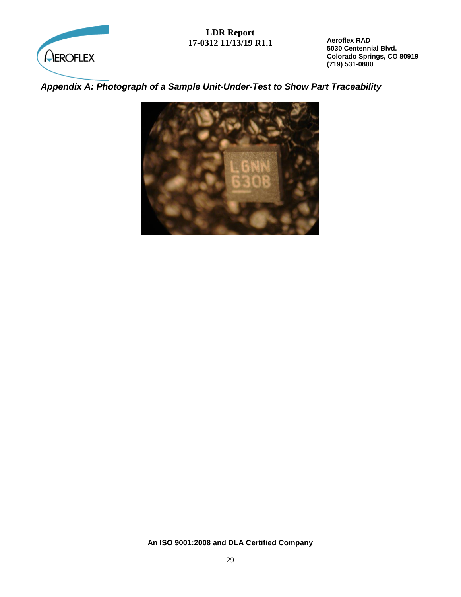

**Aeroflex RAD 5030 Centennial Blvd. Colorado Springs, CO 80919 (719) 531-0800**

## *Appendix A: Photograph of a Sample Unit-Under-Test to Show Part Traceability*

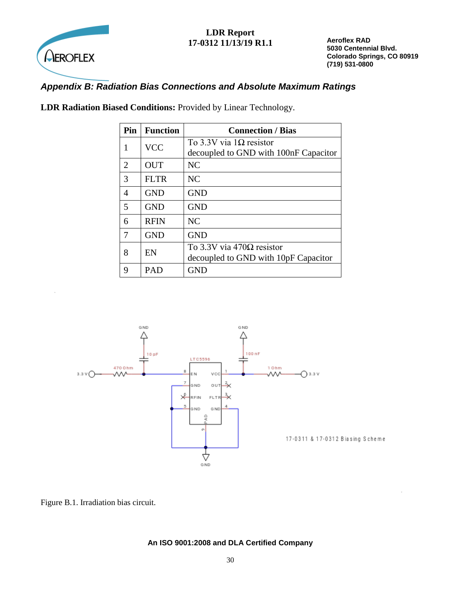

**Aeroflex RAD 5030 Centennial Blvd. Colorado Springs, CO 80919 (719) 531-0800**

## *Appendix B: Radiation Bias Connections and Absolute Maximum Ratings*

| Pin | <b>Function</b> | <b>Connection / Bias</b>                                                  |
|-----|-----------------|---------------------------------------------------------------------------|
| 1   | <b>VCC</b>      | To 3.3V via $1\Omega$ resistor<br>decoupled to GND with 100nF Capacitor   |
| 2   | <b>OUT</b>      | <b>NC</b>                                                                 |
| 3   | <b>FLTR</b>     | <b>NC</b>                                                                 |
| 4   | <b>GND</b>      | <b>GND</b>                                                                |
| 5   | <b>GND</b>      | <b>GND</b>                                                                |
| 6   | <b>RFIN</b>     | <b>NC</b>                                                                 |
| 7   | <b>GND</b>      | <b>GND</b>                                                                |
| 8   | EN              | To 3.3V via 470 $\Omega$ resistor<br>decoupled to GND with 10pF Capacitor |
| 9   | PAD             | <b>GND</b>                                                                |

**LDR Radiation Biased Conditions:** Provided by Linear Technology.



Figure B.1. Irradiation bias circuit.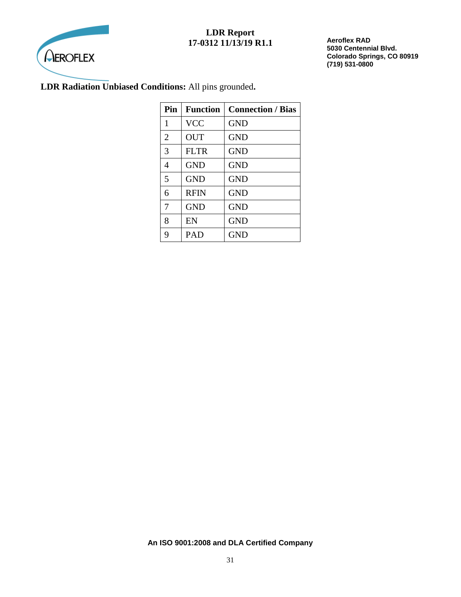

**Aeroflex RAD 5030 Centennial Blvd. Colorado Springs, CO 80919 (719) 531-0800**

## **LDR Radiation Unbiased Conditions:** All pins grounded**.**

| Pin            | <b>Function</b> | <b>Connection / Bias</b> |
|----------------|-----------------|--------------------------|
| 1              | <b>VCC</b>      | <b>GND</b>               |
| $\overline{2}$ | <b>OUT</b>      | <b>GND</b>               |
| 3              | <b>FLTR</b>     | <b>GND</b>               |
| 4              | <b>GND</b>      | <b>GND</b>               |
| 5              | <b>GND</b>      | <b>GND</b>               |
| 6              | <b>RFIN</b>     | <b>GND</b>               |
| 7              | <b>GND</b>      | <b>GND</b>               |
| 8              | EN              | <b>GND</b>               |
| 9              | PAD             | <b>GND</b>               |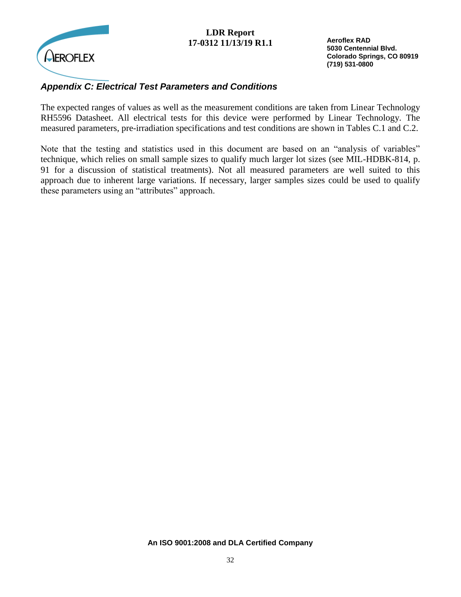

**Aeroflex RAD 5030 Centennial Blvd. Colorado Springs, CO 80919 (719) 531-0800**

## *Appendix C: Electrical Test Parameters and Conditions*

The expected ranges of values as well as the measurement conditions are taken from Linear Technology RH5596 Datasheet. All electrical tests for this device were performed by Linear Technology. The measured parameters, pre-irradiation specifications and test conditions are shown in Tables C.1 and C.2.

Note that the testing and statistics used in this document are based on an "analysis of variables" technique, which relies on small sample sizes to qualify much larger lot sizes (see MIL-HDBK-814, p. 91 for a discussion of statistical treatments). Not all measured parameters are well suited to this approach due to inherent large variations. If necessary, larger samples sizes could be used to qualify these parameters using an "attributes" approach.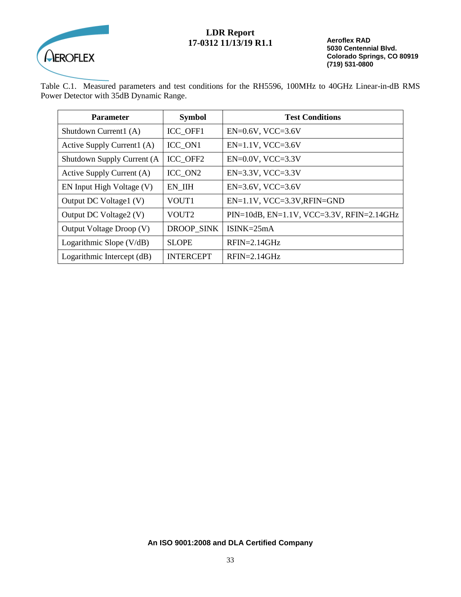

**Aeroflex RAD 5030 Centennial Blvd. Colorado Springs, CO 80919 (719) 531-0800**

Table C.1. Measured parameters and test conditions for the RH5596, 100MHz to 40GHz Linear-in-dB RMS Power Detector with 35dB Dynamic Range.

| <b>Parameter</b>           | <b>Symbol</b>     | <b>Test Conditions</b>                               |  |
|----------------------------|-------------------|------------------------------------------------------|--|
| Shutdown Current1 (A)      | ICC OFF1          | $EN=0.6V$ , $VCC=3.6V$                               |  |
| Active Supply Current1 (A) | ICC ON1           | $EN=1.1V$ , VCC=3.6V                                 |  |
| Shutdown Supply Current (A | ICC OFF2          | $EN=0.0V$ , VCC=3.3V                                 |  |
| Active Supply Current (A)  | ICC ON2           | $EN=3.3V$ , $VCC=3.3V$                               |  |
| EN Input High Voltage (V)  | EN IIH            | $EN=3.6V$ , $VCC=3.6V$                               |  |
| Output DC Voltage1 (V)     | VOUT1             | $EN=1.1V$ , $VCC=3.3V$ , $RFIN=GND$                  |  |
| Output DC Voltage2 (V)     | VOUT <sub>2</sub> | $PIN=10dB$ , $EN=1.1V$ , $VCC=3.3V$ , $RFIN=2.14GHz$ |  |
| Output Voltage Droop (V)   | DROOP SINK        | $ISINK = 25mA$                                       |  |
| Logarithmic Slope $(V/dB)$ | <b>SLOPE</b>      | $RFIN=2.14GHz$                                       |  |
| Logarithmic Intercept (dB) | <b>INTERCEPT</b>  | $RFIN=2.14GHz$                                       |  |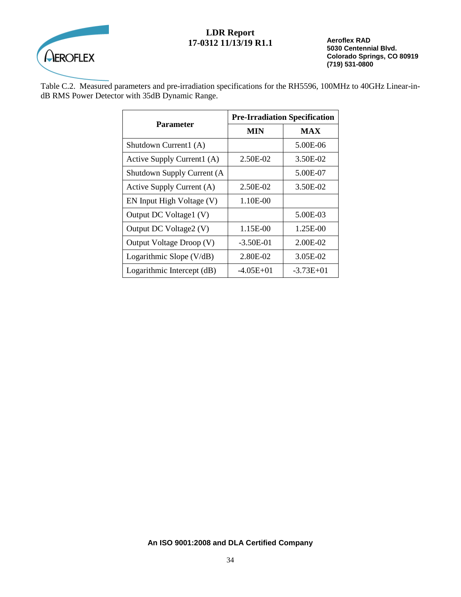

**Aeroflex RAD 5030 Centennial Blvd. Colorado Springs, CO 80919 (719) 531-0800**

Table C.2. Measured parameters and pre-irradiation specifications for the RH5596, 100MHz to 40GHz Linear-indB RMS Power Detector with 35dB Dynamic Range.

| <b>Parameter</b>           | <b>Pre-Irradiation Specification</b> |             |
|----------------------------|--------------------------------------|-------------|
|                            | MIN                                  | <b>MAX</b>  |
| Shutdown Current1 (A)      |                                      | 5.00E-06    |
| Active Supply Current1 (A) | 2.50E-02                             | 3.50E-02    |
| Shutdown Supply Current (A |                                      | 5.00E-07    |
| Active Supply Current (A)  | 2.50E-02                             | 3.50E-02    |
| EN Input High Voltage (V)  | 1.10E-00                             |             |
| Output DC Voltage1 (V)     |                                      | 5.00E-03    |
| Output DC Voltage2 (V)     | 1.15E-00                             | 1.25E-00    |
| Output Voltage Droop (V)   | $-3.50E-01$                          | 2.00E-02    |
| Logarithmic Slope (V/dB)   | 2.80E-02                             | 3.05E-02    |
| Logarithmic Intercept (dB) | -4.05E+01                            | $-3.73E+01$ |